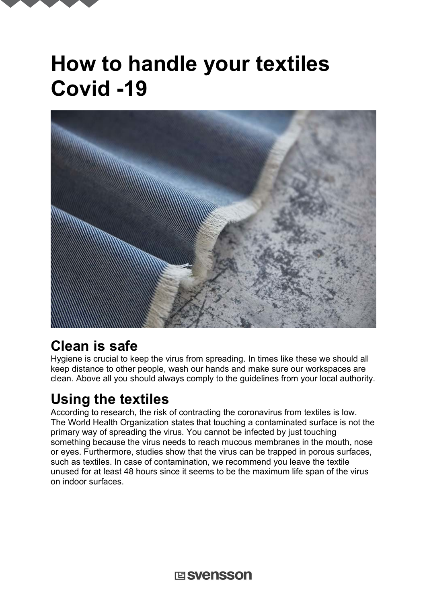# **How to handle your textiles Covid -19**



## **Clean is safe**

Hygiene is crucial to keep the virus from spreading. In times like these we should all keep distance to other people, wash our hands and make sure our workspaces are clean. Above all you should always comply to the guidelines from your local authority.

## **Using the textiles**

According to research, the risk of contracting the coronavirus from textiles is low. The World Health Organization states that touching a contaminated surface is not the primary way of spreading the virus. You cannot be infected by just touching something because the virus needs to reach mucous membranes in the mouth, nose or eyes. Furthermore, studies show that the virus can be trapped in porous surfaces, such as textiles. In case of contamination, we recommend you leave the textile unused for at least 48 hours since it seems to be the maximum life span of the virus on indoor surfaces.

**国SVenSSON**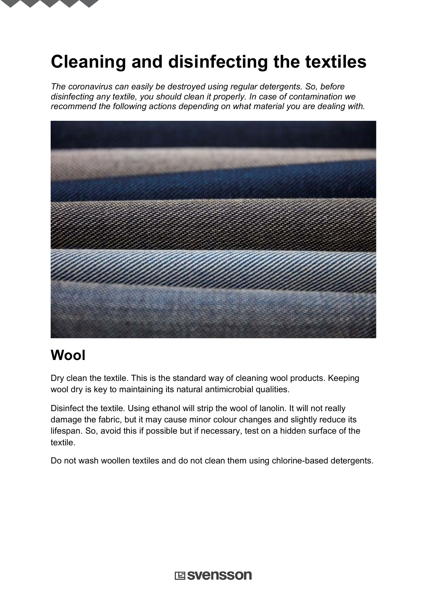

# **Cleaning and disinfecting the textiles**

*The coronavirus can easily be destroyed using regular detergents. So, before disinfecting any textile, you should clean it properly. In case of contamination we recommend the following actions depending on what material you are dealing with.*



## **Wool**

Dry clean the textile. This is the standard way of cleaning wool products. Keeping wool dry is key to maintaining its natural antimicrobial qualities.

Disinfect the textile. Using ethanol will strip the wool of lanolin. It will not really damage the fabric, but it may cause minor colour changes and slightly reduce its lifespan. So, avoid this if possible but if necessary, test on a hidden surface of the textile.

Do not wash woollen textiles and do not clean them using chlorine-based detergents.

**国SVenSSON**